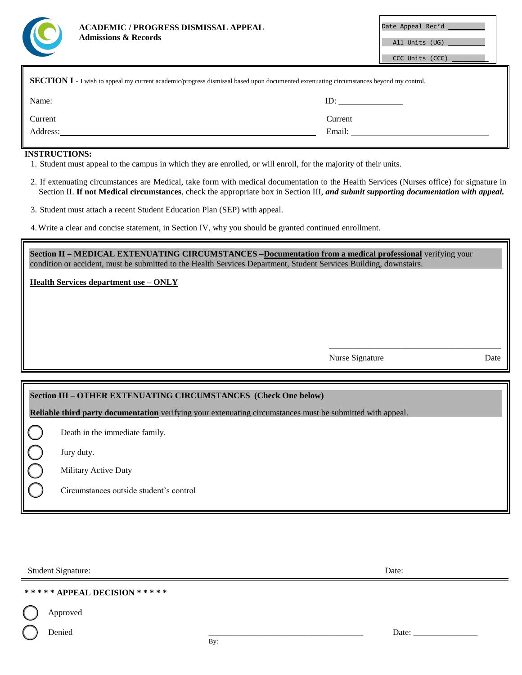

| <b>SECTION I</b> - I wish to appeal my current academic/progress dismissal based upon documented extenuating circumstances beyond my control. |         |  |
|-----------------------------------------------------------------------------------------------------------------------------------------------|---------|--|
| Name:                                                                                                                                         | ID:     |  |
| Current                                                                                                                                       | Current |  |
| Address:                                                                                                                                      | Email:  |  |

## **INSTRUCTIONS:**

- 1. Student must appeal to the campus in which they are enrolled, or will enroll, for the majority of their units.
- 2. If extenuating circumstances are Medical, take form with medical documentation to the Health Services (Nurses office) for signature in Section II. **If not Medical circumstances**, check the appropriate box in Section III, *and submit supporting documentation with appeal.*
- 3. Student must attach a recent Student Education Plan (SEP) with appeal.
- 4. Write a clear and concise statement, in Section IV, why you should be granted continued enrollment.

**Section II – MEDICAL EXTENUATING CIRCUMSTANCES –Documentation from a medical professional** verifying your condition or accident, must be submitted to the Health Services Department, Student Services Building, downstairs.

**Health Services department use – ONLY** 

Nurse Signature Date

 $\mathcal{L}_\text{max}$  and  $\mathcal{L}_\text{max}$  and  $\mathcal{L}_\text{max}$  and  $\mathcal{L}_\text{max}$ 

## **Section III – OTHER EXTENUATING CIRCUMSTANCES (Check One below)**

**Reliable third party documentation** verifying your extenuating circumstances must be submitted with appeal.

Death in the immediate family.

Jury duty.

Military Active Duty

Circumstances outside student's control

Student Signature: Date: Date: Date: Date: Date: Date: Date: Date: Date: Date: Date: Date: Date: Date: Date: Date: Date: Date: Date: Date: Date: Date: Date: Date: Date: Date: Date: Date: Date: Date: Date: Date: Date: Date:

**\* \* \* \* \* APPEAL DECISION \* \* \* \* \***

Approved

Denied \_\_\_\_\_\_\_\_\_\_\_\_\_\_\_\_\_\_\_\_\_\_\_\_\_\_\_\_\_\_\_\_\_\_\_\_

Date: